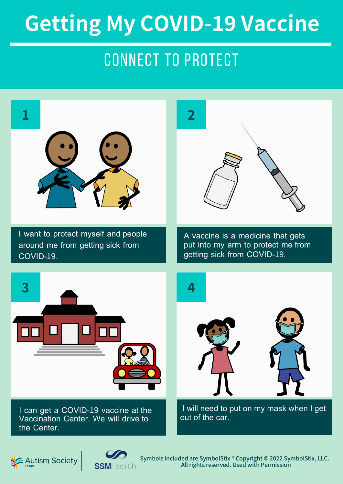### connect to protect



Autism Society

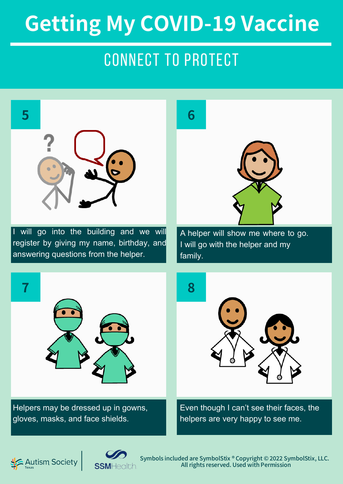### connect to protect



I will go into the building and we will register by giving my name, birthday, and answering questions from the helper.

A helper will show me where to go. I will go with the helper and my family.



Helpers may be dressed up in gowns, gloves, masks, and face shields.



Even though I can't see their faces, the helpers are very happy to see me.



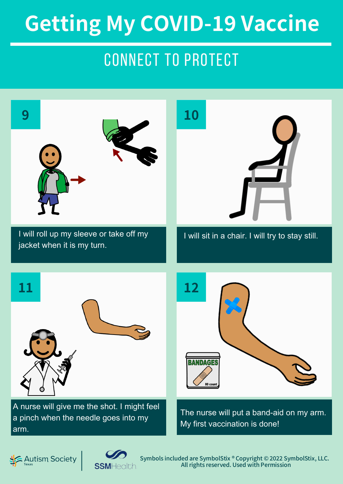### connect to protect



Symbols included are SymbolStix ® Copyright © 2022 SymbolStix, LLC. All rights reserved. Used with Permission

**SSM**Health.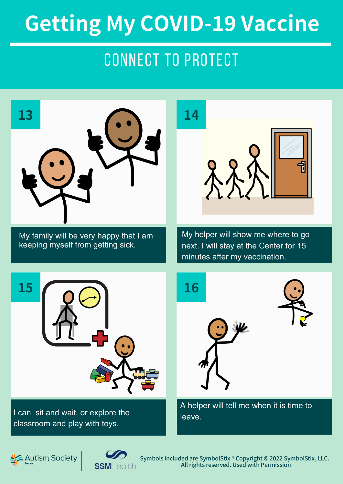### connect to protect



My family will be very happy that I am keeping myself from getting sick.



My helper will show me where to go next. I will stay at the Center for 15 minutes after my vaccination.



I can sit and wait, or explore the classroom and play with toys.



A helper will tell me when it is time to leave.